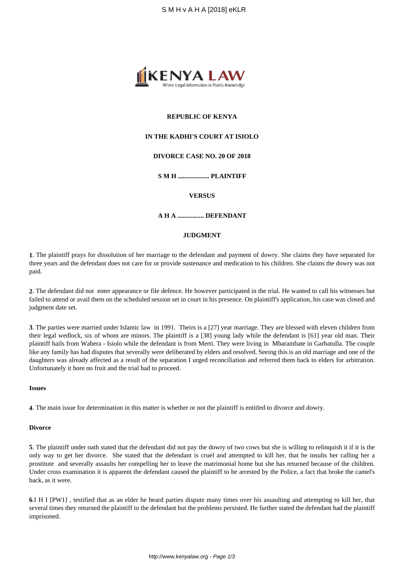

# **REPUBLIC OF KENYA**

# **IN THE KADHI'S COURT AT ISIOLO**

# **DIVORCE CASE NO. 20 OF 2018**

**S M H ................... PLAINTIFF**

## **VERSUS**

# **A H A ................ DEFENDANT**

# **JUDGMENT**

**1**. The plaintiff prays for dissolution of her marriage to the defendant and payment of dowry. She claims they have separated for three years and the defendant does not care for or provide sustenance and medication to his children. She claims the dowry was not paid.

**2**. The defendant did not enter appearance or file defence. He however participated in the trial. He wanted to call his witnesses but failed to attend or avail them on the scheduled session set in court in his presence. On plaintiff's application, his case was closed and judgment date set.

**3**. The parties were married under Islamic law in 1991. Theirs is a [27] year marriage. They are blessed with eleven children from their legal wedlock, six of whom are minors. The plaintiff is a [38] young lady while the defendant is [61] year old man. Their plaintiff hails from Wabera - Isiolo while the defendant is from Merti. They were living in Mbarambate in Garbatulla. The couple like any family has had disputes that severally were deliberated by elders and resolved. Seeing this is an old marriage and one of the daughters was already affected as a result of the separation I urged reconciliation and referred them back to elders for arbitration. Unfortunately it bore no fruit and the trial had to proceed.

## **Issues**

**4**. The main issue for determination in this matter is whether or not the plaintiff is entitled to divorce and dowry.

#### **Divorce**

**5**. The plaintiff under oath stated that the defendant did not pay the dowry of two cows but she is willing to relinquish it if it is the only way to get her divorce. She stated that the defendant is cruel and attempted to kill her, that he insults her calling her a prostitute and severally assaults her compelling her to leave the matrimonial home but she has returned because of the children. Under cross examination it is apparent the defendant caused the plaintiff to be arrested by the Police, a fact that broke the camel's back, as it were.

**6**.I H I [PW1] , testified that as an elder he heard parties dispute many times over his assaulting and attempting to kill her, that several times they returned the plaintiff to the defendant but the problems persisted. He further stated the defendant had the plaintiff imprisoned.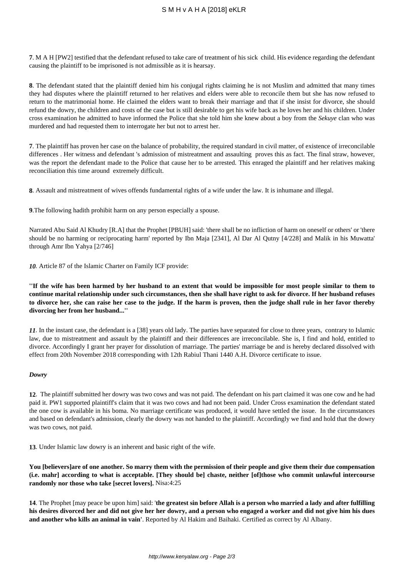# S M H v A H A [2018] eKLR

**7**. M A H [PW2] testified that the defendant refused to take care of treatment of his sick child. His evidence regarding the defendant causing the plaintiff to be imprisoned is not admissible as it is hearsay.

**8**. The defendant stated that the plaintiff denied him his conjugal rights claiming he is not Muslim and admitted that many times they had disputes where the plaintiff returned to her relatives and elders were able to reconcile them but she has now refused to return to the matrimonial home. He claimed the elders want to break their marriage and that if she insist for divorce, she should refund the dowry, the children and costs of the case but is still desirable to get his wife back as he loves her and his children. Under cross examination he admitted to have informed the Police that she told him she knew about a boy from the *Sekuye* clan who was murdered and had requested them to interrogate her but not to arrest her.

**7**. The plaintiff has proven her case on the balance of probability, the required standard in civil matter, of existence of irreconcilable differences . Her witness and defendant 's admission of mistreatment and assaulting proves this as fact. The final straw, however, was the report the defendant made to the Police that cause her to be arrested. This enraged the plaintiff and her relatives making reconciliation this time around extremely difficult.

**8**. Assault and mistreatment of wives offends fundamental rights of a wife under the law. It is inhumane and illegal.

**9**.The following hadith prohibit harm on any person especially a spouse.

Narrated Abu Said Al Khudry [R.A] that the Prophet [PBUH] said: 'there shall be no infliction of harm on oneself or others' or 'there should be no harming or reciprocating harm' reported by Ibn Maja [2341], Al Dar Al Qutny [4/228] and Malik in his Muwatta' through Amr Ibn Yahya [2/746]

*10.* Article 87 of the Islamic Charter on Family ICF provide:

**''If the wife has been harmed by her husband to an extent that would be impossible for most people similar to them to continue marital relationship under such circumstances, then she shall have right to ask for divorce. If her husband refuses to divorce her, she can raise her case to the judge. If the harm is proven, then the judge shall rule in her favor thereby divorcing her from her husband...''** 

*11.* In the instant case, the defendant is a [38] years old lady. The parties have separated for close to three years, contrary to Islamic law, due to mistreatment and assault by the plaintiff and their differences are irreconcilable. She is, I find and hold, entitled to divorce. Accordingly I grant her prayer for dissolution of marriage. The parties' marriage be and is hereby declared dissolved with effect from 20th November 2018 corresponding with 12th Rabiul Thani 1440 A.H. Divorce certificate to issue.

# *Dowry*

**12**. The plaintiff submitted her dowry was two cows and was not paid. The defendant on his part claimed it was one cow and he had paid it. PW1 supported plaintiff's claim that it was two cows and had not been paid. Under Cross examination the defendant stated the one cow is available in his boma. No marriage certificate was produced, it would have settled the issue. In the circumstances and based on defendant's admission, clearly the dowry was not handed to the plaintiff. Accordingly we find and hold that the dowry was two cows, not paid.

**13**. Under Islamic law dowry is an inherent and basic right of the wife.

**You [believers]are of one another. So marry them with the permission of their people and give them their due compensation (i.e. mahr] according to what is acceptable. [They should be] chaste, neither [of]those who commit unlawful intercourse randomly nor those who take [secret lovers].** Nisa:4:25

**14**. The Prophet [may peace be upon him] said: '**the greatest sin before Allah is a person who married a lady and after fulfilling his desires divorced her and did not give her her dowry, and a person who engaged a worker and did not give him his dues and another who kills an animal in vain'**. Reported by Al Hakim and Baihaki. Certified as correct by Al Albany.